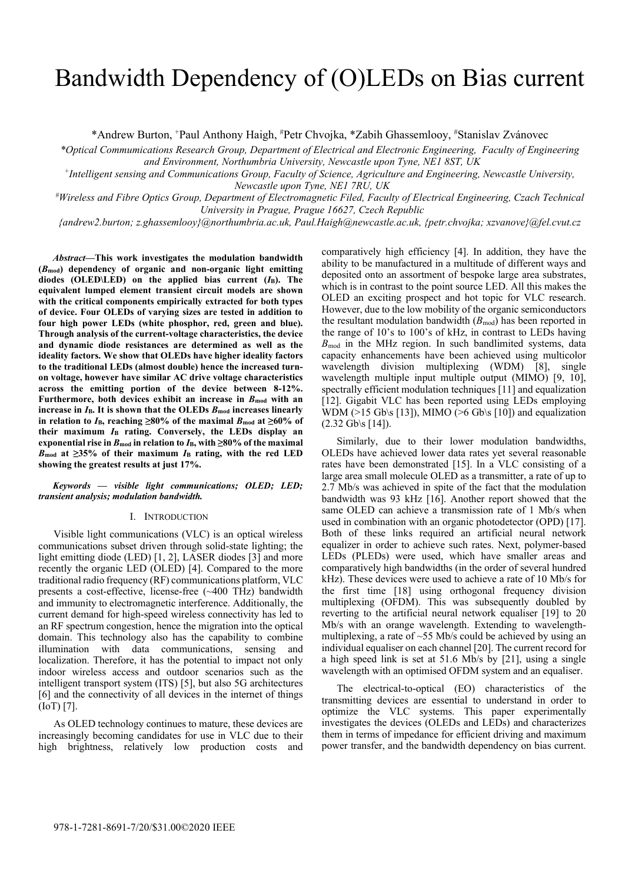# Bandwidth Dependency of (O)LEDs on Bias current

\*Andrew Burton, +Paul Anthony Haigh, # Petr Chvojka, \*Zabih Ghassemlooy, # Stanislav Zvánovec

*\*Optical Commumications Research Group, Department of Electrical and Electronic Engineering, Faculty of Engineering and Environment, Northumbria University, Newcastle upon Tyne, NE1 8ST, UK*

*+Intelligent sensing and Communications Group, Faculty of Science, Agriculture and Engineering, Newcastle University, Newcastle upon Tyne, NE1 7RU, UK*

*# Wireless and Fibre Optics Group, Department of Electromagnetic Filed, Faculty of Electrical Engineering, Czach Technical University in Prague, Prague 16627, Czech Republic*

*{andrew2.burton; z.ghassemlooy}@northumbria.ac.uk, Paul.Haigh@newcastle.ac.uk, {petr.chvojka; xzvanove}@fel.cvut.cz*

*Abstract***—This work investigates the modulation bandwidth (***B***mod) dependency of organic and non-organic light emitting diodes (OLED\LED) on the applied bias current (***I***B). The equivalent lumped element transient circuit models are shown with the critical components empirically extracted for both types of device. Four OLEDs of varying sizes are tested in addition to four high power LEDs (white phosphor, red, green and blue). Through analysis of the current-voltage characteristics, the device and dynamic diode resistances are determined as well as the ideality factors. We show that OLEDs have higher ideality factors to the traditional LEDs (almost double) hence the increased turnon voltage, however have similar AC drive voltage characteristics across the emitting portion of the device between 8-12%. Furthermore, both devices exhibit an increase in** *B***mod with an**  increase in  $I_B$ . It is shown that the OLEDs  $B_{mod}$  increases linearly **in relation to**  $I_{\text{B}}$ **, reaching ≥80% of the maximal**  $B_{\text{mod}}$  **at ≥60% of their maximum** *I***<sup>B</sup> rating. Conversely, the LEDs display an exponential rise in**  $B_{\text{mod}}$  **in relation to**  $I_{\text{B}}$ **, with**  $\geq 80\%$  **of the maximal**  $B_{\text{mod}}$  at  $\geq$ 35% of their maximum  $I_{\text{B}}$  rating, with the red LED **showing the greatest results at just 17%.**

*Keywords — visible light communications; OLED; LED; transient analysis; modulation bandwidth.*

# I. INTRODUCTION

Visible light communications (VLC) is an optical wireless communications subset driven through solid-state lighting; the light emitting diode (LED) [1, 2], LASER diodes [3] and more recently the organic LED (OLED) [4]. Compared to the more traditional radio frequency (RF) communications platform, VLC presents a cost-effective, license-free (~400 THz) bandwidth and immunity to electromagnetic interference. Additionally, the current demand for high-speed wireless connectivity has led to an RF spectrum congestion, hence the migration into the optical domain. This technology also has the capability to combine illumination with data communications, sensing and localization. Therefore, it has the potential to impact not only indoor wireless access and outdoor scenarios such as the intelligent transport system (ITS) [5], but also 5G architectures [6] and the connectivity of all devices in the internet of things (IoT) [7].

As OLED technology continues to mature, these devices are increasingly becoming candidates for use in VLC due to their high brightness, relatively low production costs and

comparatively high efficiency [4]. In addition, they have the ability to be manufactured in a multitude of different ways and deposited onto an assortment of bespoke large area substrates, which is in contrast to the point source LED. All this makes the OLED an exciting prospect and hot topic for VLC research. However, due to the low mobility of the organic semiconductors the resultant modulation bandwidth  $(B_{mod})$  has been reported in the range of 10's to 100's of kHz, in contrast to LEDs having *B*<sub>mod</sub> in the MHz region. In such bandlimited systems, data capacity enhancements have been achieved using multicolor wavelength division multiplexing (WDM) [8], single wavelength multiple input multiple output (MIMO) [9, 10], spectrally efficient modulation techniques [11] and equalization [12]. Gigabit VLC has been reported using LEDs employing WDM ( $>15$  Gb\s [13]), MIMO ( $>6$  Gb\s [10]) and equalization  $(2.32 \text{Gb}\sqrt{s} [14]).$ 

Similarly, due to their lower modulation bandwidths, OLEDs have achieved lower data rates yet several reasonable rates have been demonstrated [15]. In a VLC consisting of a large area small molecule OLED as a transmitter, a rate of up to 2.7 Mb/s was achieved in spite of the fact that the modulation bandwidth was 93 kHz [16]. Another report showed that the same OLED can achieve a transmission rate of 1 Mb/s when used in combination with an organic photodetector (OPD) [17]. Both of these links required an artificial neural network equalizer in order to achieve such rates. Next, polymer-based LEDs (PLEDs) were used, which have smaller areas and comparatively high bandwidths (in the order of several hundred kHz). These devices were used to achieve a rate of 10 Mb/s for the first time [18] using orthogonal frequency division multiplexing (OFDM). This was subsequently doubled by reverting to the artificial neural network equaliser [19] to 20 Mb/s with an orange wavelength. Extending to wavelengthmultiplexing, a rate of ~55 Mb/s could be achieved by using an individual equaliser on each channel [20]. The current record for a high speed link is set at 51.6 Mb/s by [21], using a single wavelength with an optimised OFDM system and an equaliser.

The electrical-to-optical (EO) characteristics of the transmitting devices are essential to understand in order to optimize the VLC systems. This paper experimentally investigates the devices (OLEDs and LEDs) and characterizes them in terms of impedance for efficient driving and maximum power transfer, and the bandwidth dependency on bias current.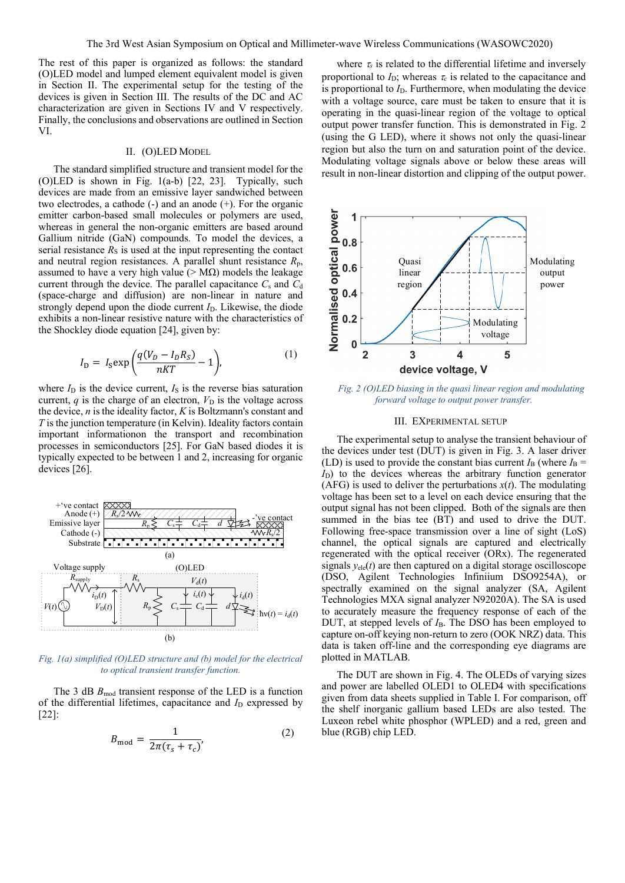The rest of this paper is organized as follows: the standard (O)LED model and lumped element equivalent model is given in Section II. The experimental setup for the testing of the devices is given in Section III. The results of the DC and AC characterization are given in Sections IV and V respectively. Finally, the conclusions and observations are outlined in Section VI.

# II. (O)LED MODEL

The standard simplified structure and transient model for the (O)LED is shown in Fig. 1(a-b) [22, 23]. Typically, such devices are made from an emissive layer sandwiched between two electrodes, a cathode (-) and an anode (+). For the organic emitter carbon-based small molecules or polymers are used, whereas in general the non-organic emitters are based around Gallium nitride (GaN) compounds. To model the devices, a serial resistance  $R<sub>S</sub>$  is used at the input representing the contact and neutral region resistances. A parallel shunt resistance *R*p, assumed to have a very high value ( $> M\Omega$ ) models the leakage current through the device. The parallel capacitance  $C_s$  and  $C_d$ (space-charge and diffusion) are non-linear in nature and strongly depend upon the diode current  $I<sub>D</sub>$ . Likewise, the diode exhibits a non-linear resistive nature with the characteristics of the Shockley diode equation [24], given by:

$$
I_{\rm D} = I_{\rm S} \exp\left(\frac{q(V_D - I_D R_S)}{nKT} - 1\right),\tag{1}
$$

where  $I_D$  is the device current,  $I_S$  is the reverse bias saturation current,  $q$  is the charge of an electron,  $V<sub>D</sub>$  is the voltage across the device, *n* is the ideality factor, *K* is Boltzmann's constant and *T* is the junction temperature (in Kelvin). Ideality factors contain important informationon the transport and recombination processes in semiconductors [25]. For GaN based diodes it is typically expected to be between 1 and 2, increasing for organic devices [26].



*Fig. 1(a) simplified (O)LED structure and (b) model for the electrical to optical transient transfer function.*

The 3 dB  $B_{\text{mod}}$  transient response of the LED is a function of the differential lifetimes, capacitance and *I*<sub>D</sub> expressed by [22]:

$$
B_{\text{mod}} = \frac{1}{2\pi(\tau_s + \tau_c)}
$$
\n<sup>(2)</sup>

where  $\tau_s$  is related to the differential lifetime and inversely proportional to  $I_D$ ; whereas  $\tau_c$  is related to the capacitance and is proportional to  $I<sub>D</sub>$ . Furthermore, when modulating the device with a voltage source, care must be taken to ensure that it is operating in the quasi-linear region of the voltage to optical output power transfer function. This is demonstrated in Fig. 2 (using the G LED), where it shows not only the quasi-linear region but also the turn on and saturation point of the device. Modulating voltage signals above or below these areas will result in non-linear distortion and clipping of the output power.



*Fig. 2 (O)LED biasing in the quasi linear region and modulating forward voltage to output power transfer.*

#### III. EXPERIMENTAL SETUP

The experimental setup to analyse the transient behaviour of the devices under test (DUT) is given in Fig. 3. A laser driver (LD) is used to provide the constant bias current  $I_B$  (where  $I_B$  =  $I<sub>D</sub>$ ) to the devices whereas the arbitrary function generator (AFG) is used to deliver the perturbations  $x(t)$ . The modulating voltage has been set to a level on each device ensuring that the output signal has not been clipped. Both of the signals are then summed in the bias tee (BT) and used to drive the DUT. Following free-space transmission over a line of sight (LoS) channel, the optical signals are captured and electrically regenerated with the optical receiver (ORx). The regenerated signals  $y_{ele}(t)$  are then captured on a digital storage oscilloscope (DSO, Agilent Technologies Infiniium DSO9254A), or spectrally examined on the signal analyzer (SA, Agilent Technologies MXA signal analyzer N92020A). The SA is used to accurately measure the frequency response of each of the DUT, at stepped levels of *I*<sub>B</sub>. The DSO has been employed to capture on-off keying non-return to zero (OOK NRZ) data. This data is taken off-line and the corresponding eye diagrams are plotted in MATLAB.

The DUT are shown in Fig. 4. The OLEDs of varying sizes and power are labelled OLED1 to OLED4 with specifications given from data sheets supplied in Table I. For comparison, off the shelf inorganic gallium based LEDs are also tested. The Luxeon rebel white phosphor (WPLED) and a red, green and blue (RGB) chip LED.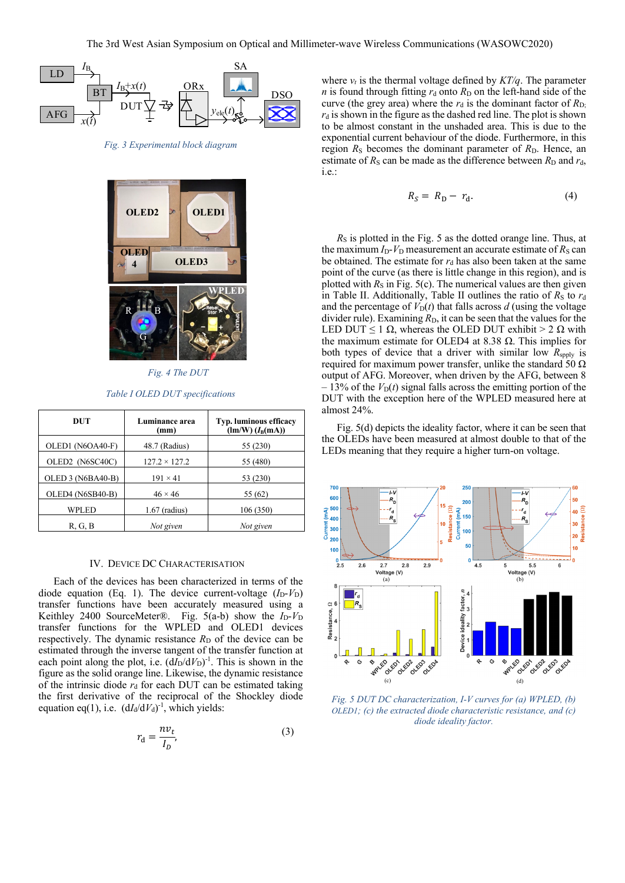

*Fig. 3 Experimental block diagram*



*Fig. 4 The DUT*

*Table I OLED DUT specifications*

| DUT                      | Luminance area<br>(mm) | <b>Typ. luminous efficacy</b><br>$(\text{Im}/\text{W})$ $(I_{\text{B}}(\text{mA}))$ |  |
|--------------------------|------------------------|-------------------------------------------------------------------------------------|--|
| OLED1 (N6OA40-F)         | 48.7 (Radius)          | 55 (230)                                                                            |  |
| OLED2 (N6SC40C)          | $127.2 \times 127.2$   | 55 (480)                                                                            |  |
| OLED 3 (N6BA40-B)        | $191 \times 41$        | 53 (230)                                                                            |  |
| OLED4 (N6SB40-B)         | $46 \times 46$         | 55 (62)                                                                             |  |
| WPLED<br>$1.67$ (radius) |                        | 106 (350)                                                                           |  |
| R, G, B                  | Not given              | Not given                                                                           |  |

#### IV. DEVICE DC CHARACTERISATION

Each of the devices has been characterized in terms of the diode equation (Eq. 1). The device current-voltage  $(I_D - V_D)$ transfer functions have been accurately measured using a Keithley 2400 SourceMeter®. Fig. 5(a-b) show the *I*<sub>D</sub>-*V*<sub>D</sub> transfer functions for the WPLED and OLED1 devices respectively. The dynamic resistance  $R_D$  of the device can be estimated through the inverse tangent of the transfer function at each point along the plot, i.e.  $(dI_D/dV_D)^{-1}$ . This is shown in the figure as the solid orange line. Likewise, the dynamic resistance of the intrinsic diode  $r_d$  for each DUT can be estimated taking the first derivative of the reciprocal of the Shockley diode equation eq(1), i.e.  $(dI_d/dV_d)^{-1}$ , which yields:

$$
r_{\rm d} = \frac{n v_t}{I_D},\tag{3}
$$

where  $v_t$  is the thermal voltage defined by  $KT/q$ . The parameter *n* is found through fitting  $r_d$  onto  $R_D$  on the left-hand side of the curve (the grey area) where the  $r_d$  is the dominant factor of  $R_{D_i}$  $r_d$  is shown in the figure as the dashed red line. The plot is shown to be almost constant in the unshaded area. This is due to the exponential current behaviour of the diode. Furthermore, in this region  $R<sub>S</sub>$  becomes the dominant parameter of  $R<sub>D</sub>$ . Hence, an estimate of  $R_S$  can be made as the difference between  $R_D$  and  $r_d$ , i.e.:

$$
R_S = R_D - r_d. \tag{4}
$$

*R*<sub>S</sub> is plotted in the Fig. 5 as the dotted orange line. Thus, at the maximum  $I_D$ - $V_D$  measurement an accurate estimate of  $R_S$  can be obtained. The estimate for  $r_d$  has also been taken at the same point of the curve (as there is little change in this region), and is plotted with  $R<sub>S</sub>$  in Fig. 5(c). The numerical values are then given in Table II. Additionally, Table II outlines the ratio of  $R<sub>S</sub>$  to  $r<sub>d</sub>$ and the percentage of  $V_D(t)$  that falls across  $d$  (using the voltage divider rule). Examining  $R<sub>D</sub>$ , it can be seen that the values for the LED DUT < 1  $\Omega$ , whereas the OLED DUT exhibit > 2  $\Omega$  with the maximum estimate for OLED4 at 8.38  $Ω$ . This implies for both types of device that a driver with similar low  $R_{\text{spply}}$  is required for maximum power transfer, unlike the standard 50  $\Omega$ output of AFG. Moreover, when driven by the AFG, between 8  $-13\%$  of the  $V_{D}(t)$  signal falls across the emitting portion of the DUT with the exception here of the WPLED measured here at almost 24%.

Fig. 5(d) depicts the ideality factor, where it can be seen that the OLEDs have been measured at almost double to that of the LEDs meaning that they require a higher turn-on voltage.



*Fig. 5 DUT DC characterization, I-V curves for (a) WPLED, (b) OLED1; (c) the extracted diode characteristic resistance, and (c) diode ideality factor.*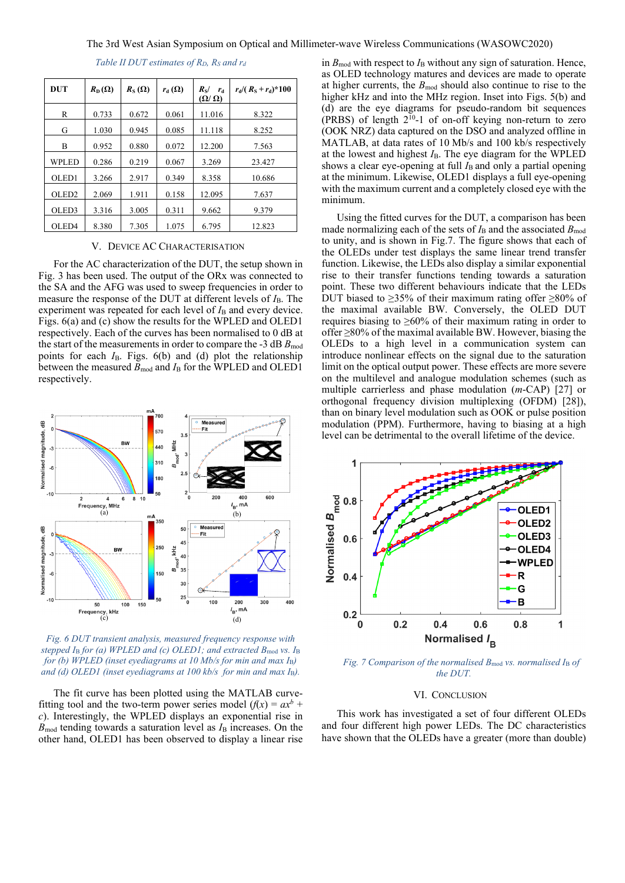| DUT               | $R_{\text{D}}(\Omega)$ | $R_{\rm S}(\Omega)$ | $r_{\rm d}(\Omega)$ | $R_{\rm S}$ /<br>$r_{\rm d}$<br>$(\Omega/\Omega)$ | $r_{\rm d}$ /( $R_{\rm S}$ + $r_{\rm d}$ )*100 |
|-------------------|------------------------|---------------------|---------------------|---------------------------------------------------|------------------------------------------------|
| R                 | 0.733                  | 0.672               | 0.061               | 11.016                                            | 8.322                                          |
| G                 | 1.030                  | 0.945               | 0.085               | 11.118                                            | 8.252                                          |
| B                 | 0.952                  | 0.880               | 0.072               | 12.200                                            | 7.563                                          |
| WPLED             | 0.286                  | 0.219               | 0.067               | 3.269                                             | 23.427                                         |
| OLED1             | 3.266                  | 2.917               | 0.349               | 8.358                                             | 10.686                                         |
| OLED <sub>2</sub> | 2.069                  | 1.911               | 0.158               | 12.095                                            | 7.637                                          |
| OLED3             | 3.316                  | 3.005               | 0.311               | 9.662                                             | 9.379                                          |
| OLED <sub>4</sub> | 8.380                  | 7.305               | 1.075               | 6.795                                             | 12.823                                         |

*Table II DUT estimates of RD, RS and rd*

# V. DEVICE AC CHARACTERISATION

For the AC characterization of the DUT, the setup shown in Fig. 3 has been used. The output of the ORx was connected to the SA and the AFG was used to sweep frequencies in order to measure the response of the DUT at different levels of  $I_B$ . The experiment was repeated for each level of  $I_B$  and every device. Figs. 6(a) and (c) show the results for the WPLED and OLED1 respectively. Each of the curves has been normalised to 0 dB at the start of the measurements in order to compare the  $-3$  dB  $B_{\text{mod}}$ points for each *I*<sub>B</sub>. Figs. 6(b) and (d) plot the relationship between the measured  $B_{\text{mod}}$  and  $I_{\text{B}}$  for the WPLED and OLED1 respectively.



*Fig. 6 DUT transient analysis, measured frequency response with stepped I*<sup>B</sup> *for (a) WPLED and (c) OLED1; and extracted B*mod *vs. I*<sup>B</sup> *for (b) WPLED (inset eyediagrams at 10 Mb/s for min and max I*B*) and (d) OLED1 (inset eyediagrams at 100 kb/s for min and max I*B*).*

The fit curve has been plotted using the MATLAB curvefitting tool and the two-term power series model  $(f(x)) = ax^b +$ *c*). Interestingly, the WPLED displays an exponential rise in  $B_{\text{mod}}$  tending towards a saturation level as  $I_{\text{B}}$  increases. On the other hand, OLED1 has been observed to display a linear rise

in  $B_{\text{mod}}$  with respect to  $I_{\text{B}}$  without any sign of saturation. Hence, as OLED technology matures and devices are made to operate at higher currents, the  $B_{\text{mod}}$  should also continue to rise to the higher kHz and into the MHz region. Inset into Figs. 5(b) and (d) are the eye diagrams for pseudo-random bit sequences (PRBS) of length  $2^{10}$ -1 of on-off keying non-return to zero (OOK NRZ) data captured on the DSO and analyzed offline in MATLAB, at data rates of 10 Mb/s and 100 kb/s respectively at the lowest and highest *I*B. The eye diagram for the WPLED shows a clear eye-opening at full *I*<sub>B</sub> and only a partial opening at the minimum. Likewise, OLED1 displays a full eye-opening with the maximum current and a completely closed eye with the minimum.

Using the fitted curves for the DUT, a comparison has been made normalizing each of the sets of  $I_B$  and the associated  $B_{\text{mod}}$ to unity, and is shown in Fig.7. The figure shows that each of the OLEDs under test displays the same linear trend transfer function. Likewise, the LEDs also display a similar exponential rise to their transfer functions tending towards a saturation point. These two different behaviours indicate that the LEDs DUT biased to  $\geq$ 35% of their maximum rating offer  $\geq$ 80% of the maximal available BW. Conversely, the OLED DUT requires biasing to  $\geq 60\%$  of their maximum rating in order to offer ≥80% of the maximal available BW. However, biasing the OLEDs to a high level in a communication system can introduce nonlinear effects on the signal due to the saturation limit on the optical output power. These effects are more severe on the multilevel and analogue modulation schemes (such as multiple carrierless and phase modulation (*m*-CAP) [27] or orthogonal frequency division multiplexing (OFDM) [28]), than on binary level modulation such as OOK or pulse position modulation (PPM). Furthermore, having to biasing at a high level can be detrimental to the overall lifetime of the device.



*Fig. 7 Comparison of the normalised B*<sub>mod</sub> *vs. normalised I*<sub>B</sub> *of the DUT.*

# VI. CONCLUSION

This work has investigated a set of four different OLEDs and four different high power LEDs. The DC characteristics have shown that the OLEDs have a greater (more than double)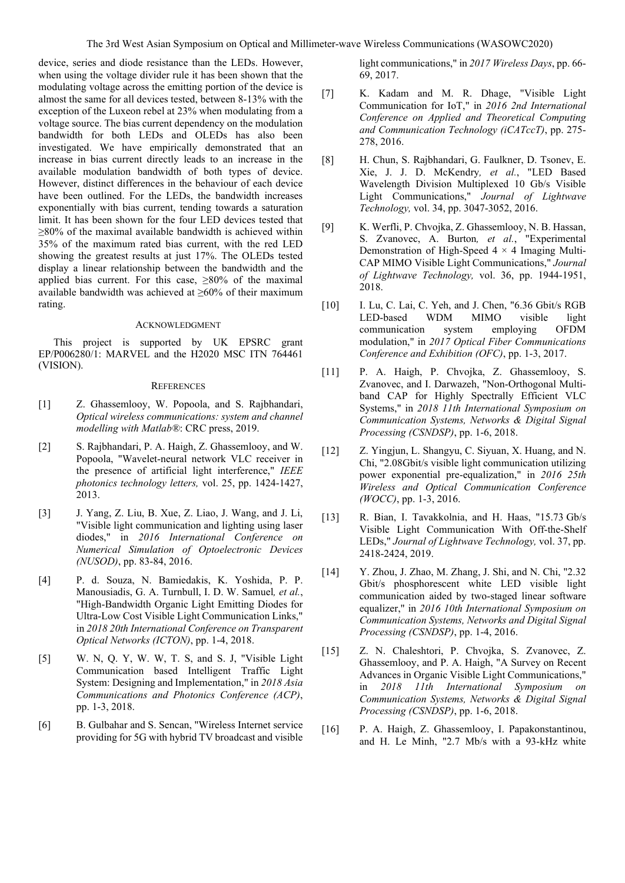device, series and diode resistance than the LEDs. However, when using the voltage divider rule it has been shown that the modulating voltage across the emitting portion of the device is almost the same for all devices tested, between 8-13% with the exception of the Luxeon rebel at 23% when modulating from a voltage source. The bias current dependency on the modulation bandwidth for both LEDs and OLEDs has also been investigated. We have empirically demonstrated that an increase in bias current directly leads to an increase in the available modulation bandwidth of both types of device. However, distinct differences in the behaviour of each device have been outlined. For the LEDs, the bandwidth increases exponentially with bias current, tending towards a saturation limit. It has been shown for the four LED devices tested that  $\geq$ 80% of the maximal available bandwidth is achieved within 35% of the maximum rated bias current, with the red LED showing the greatest results at just 17%. The OLEDs tested display a linear relationship between the bandwidth and the applied bias current. For this case,  $\geq 80\%$  of the maximal available bandwidth was achieved at ≥60% of their maximum rating.

# ACKNOWLEDGMENT

This project is supported by UK EPSRC grant EP/P006280/1: MARVEL and the H2020 MSC ITN 764461 (VISION).

### **REFERENCES**

- [1] Z. Ghassemlooy, W. Popoola, and S. Rajbhandari, *Optical wireless communications: system and channel modelling with Matlab®*: CRC press, 2019.
- [2] S. Rajbhandari, P. A. Haigh, Z. Ghassemlooy, and W. Popoola, "Wavelet-neural network VLC receiver in the presence of artificial light interference," *IEEE photonics technology letters,* vol. 25, pp. 1424-1427, 2013.
- [3] J. Yang, Z. Liu, B. Xue, Z. Liao, J. Wang, and J. Li, "Visible light communication and lighting using laser diodes," in *2016 International Conference on Numerical Simulation of Optoelectronic Devices (NUSOD)*, pp. 83-84, 2016.
- [4] P. d. Souza, N. Bamiedakis, K. Yoshida, P. P. Manousiadis, G. A. Turnbull, I. D. W. Samuel*, et al.*, "High-Bandwidth Organic Light Emitting Diodes for Ultra-Low Cost Visible Light Communication Links," in *2018 20th International Conference on Transparent Optical Networks (ICTON)*, pp. 1-4, 2018.
- [5] W. N, Q. Y, W. W, T. S, and S. J, "Visible Light Communication based Intelligent Traffic Light System: Designing and Implementation," in *2018 Asia Communications and Photonics Conference (ACP)*, pp. 1-3, 2018.
- [6] B. Gulbahar and S. Sencan, "Wireless Internet service providing for 5G with hybrid TV broadcast and visible

light communications," in *2017 Wireless Days*, pp. 66- 69, 2017.

- [7] K. Kadam and M. R. Dhage, "Visible Light Communication for IoT," in *2016 2nd International Conference on Applied and Theoretical Computing and Communication Technology (iCATccT)*, pp. 275- 278, 2016.
- [8] H. Chun, S. Rajbhandari, G. Faulkner, D. Tsonev, E. Xie, J. J. D. McKendry*, et al.*, "LED Based Wavelength Division Multiplexed 10 Gb/s Visible Light Communications," *Journal of Lightwave Technology,* vol. 34, pp. 3047-3052, 2016.
- [9] K. Werfli, P. Chvojka, Z. Ghassemlooy, N. B. Hassan, S. Zvanovec, A. Burton*, et al.*, "Experimental Demonstration of High-Speed  $4 \times 4$  Imaging Multi-CAP MIMO Visible Light Communications," *Journal of Lightwave Technology,* vol. 36, pp. 1944-1951, 2018.
- [10] I. Lu, C. Lai, C. Yeh, and J. Chen, "6.36 Gbit/s RGB LED-based WDM MIMO visible light communication system employing OFDM modulation," in *2017 Optical Fiber Communications Conference and Exhibition (OFC)*, pp. 1-3, 2017.
- [11] P. A. Haigh, P. Chvojka, Z. Ghassemlooy, S. Zvanovec, and I. Darwazeh, "Non-Orthogonal Multiband CAP for Highly Spectrally Efficient VLC Systems," in *2018 11th International Symposium on Communication Systems, Networks & Digital Signal Processing (CSNDSP)*, pp. 1-6, 2018.
- [12] Z. Yingjun, L. Shangyu, C. Siyuan, X. Huang, and N. Chi, "2.08Gbit/s visible light communication utilizing power exponential pre-equalization," in *2016 25th Wireless and Optical Communication Conference (WOCC)*, pp. 1-3, 2016.
- [13] R. Bian, I. Tavakkolnia, and H. Haas, "15.73 Gb/s Visible Light Communication With Off-the-Shelf LEDs," *Journal of Lightwave Technology,* vol. 37, pp. 2418-2424, 2019.
- [14] Y. Zhou, J. Zhao, M. Zhang, J. Shi, and N. Chi, "2.32 Gbit/s phosphorescent white LED visible light communication aided by two-staged linear software equalizer," in *2016 10th International Symposium on Communication Systems, Networks and Digital Signal Processing (CSNDSP)*, pp. 1-4, 2016.
- [15] Z. N. Chaleshtori, P. Chvojka, S. Zvanovec, Z. Ghassemlooy, and P. A. Haigh, "A Survey on Recent Advances in Organic Visible Light Communications," in *2018 11th International Symposium on Communication Systems, Networks & Digital Signal Processing (CSNDSP)*, pp. 1-6, 2018.
- [16] P. A. Haigh, Z. Ghassemlooy, I. Papakonstantinou, and H. Le Minh, "2.7 Mb/s with a 93-kHz white